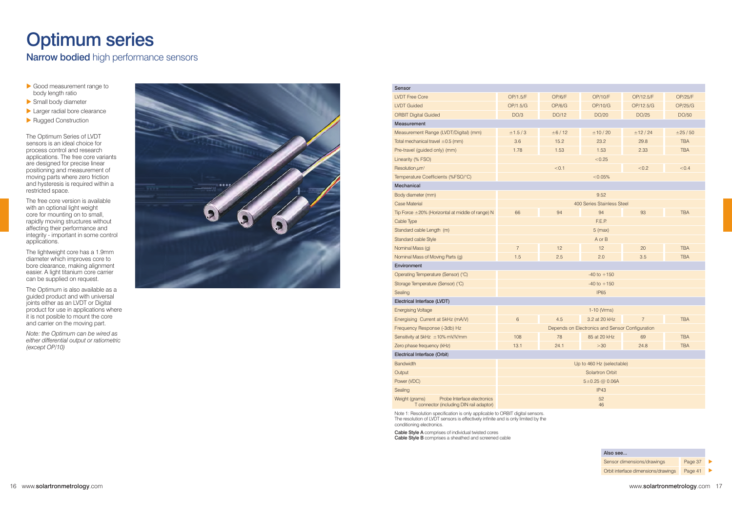## Optimum series

Narrow bodied high performance sensors

- $\triangleright$  Good measurement range to body length ratio body length ratio
- X Small body diameter
- $\blacktriangleright$  Larger radial bore clearance
- Rugged Construction

The Optimum Series of LVDT sensors is an ideal choice for process control and research applications. The free core variants are designed for precise linear positioning and measurement of moving parts where zero friction and hysteresis is required within a restricted space.

The free core version is available with an optional light weight core for mounting on to small, rapidly moving structures without affecting their performance and integrity - important in some control applications.

The lightweight core has a 1.9mm diameter which improves core to bore clearance, making alignment easier. A light titanium core carrier can be supplied on request.

The Optimum is also available as a guided product and with universal joints either as an LVDT or Digital product for use in applications where it is not posible to mount the core and carrier on the moving part.

*Note: the Optimum can be wired as either differential output or ratiometric (except OP/10)*



| Sensor                                                                                    |                                                 |        |                 |                |            |  |
|-------------------------------------------------------------------------------------------|-------------------------------------------------|--------|-----------------|----------------|------------|--|
| <b>LVDT Free Core</b>                                                                     | OP/1.5/F                                        | OP/6/F | OP/10/F         | OP/12.5/F      | OP/25/F    |  |
| <b>LVDT</b> Guided                                                                        | OP/1.5/G                                        | OP/6/G | OP/10/G         | OP/12.5/G      | OP/25/G    |  |
| <b>ORBIT Digital Guided</b>                                                               | DO/3                                            | DO/12  | DO/20           | DO/25          | DO/50      |  |
| Measurement                                                                               |                                                 |        |                 |                |            |  |
| Measurement Range (LVDT/Digital) (mm)                                                     | ±1.5/3                                          | ±6/12  | ± 10 / 20       | ±12/24         | ±25/50     |  |
| Total mechanical travel $\pm 0.5$ (mm)                                                    | 3.6                                             | 15.2   | 23.2            | 29.8           | <b>TBA</b> |  |
| Pre-travel (guided only) (mm)                                                             | 1.78                                            | 1.53   | 1.53            | 2.33           | <b>TBA</b> |  |
| Linearity (% FSO)                                                                         |                                                 |        | < 0.25          |                |            |  |
| Resolution $\mu$ m <sup>1</sup>                                                           |                                                 | < 0.1  |                 | < 0.2          | < 0.4      |  |
| Temperature Coefficients (%FSO/°C)                                                        | < 0.05%                                         |        |                 |                |            |  |
| Mechanical                                                                                |                                                 |        |                 |                |            |  |
| Body diameter (mm)                                                                        | 9.52                                            |        |                 |                |            |  |
| Case Material                                                                             | 400 Series Stainless Steel                      |        |                 |                |            |  |
| Tip Force $\pm 20\%$ (Horizontal at middle of range) N                                    | 66                                              | 94     | 94              | 93             | <b>TBA</b> |  |
| Cable Type                                                                                | F.E.P.                                          |        |                 |                |            |  |
| Standard cable Length (m)                                                                 | $5$ (max)                                       |        |                 |                |            |  |
| Standard cable Style                                                                      |                                                 |        | A or B          |                |            |  |
| Nominal Mass (g)                                                                          | $\overline{7}$                                  | 12     | 12              | 20             | <b>TBA</b> |  |
| Nominal Mass of Moving Parts (g)                                                          | 1.5                                             | 2.5    | 2.0             | 3.5            | <b>TBA</b> |  |
| Environment                                                                               |                                                 |        |                 |                |            |  |
| Operating Temperature (Sensor) (°C)                                                       | $-40$ to $+150$                                 |        |                 |                |            |  |
| Storage Temperature (Sensor) (°C)                                                         |                                                 |        | $-40$ to $+150$ |                |            |  |
| Sealing                                                                                   | <b>IP65</b>                                     |        |                 |                |            |  |
| Electrical Interface (LVDT)                                                               |                                                 |        |                 |                |            |  |
| <b>Energising Voltage</b>                                                                 |                                                 |        | 1-10 (Vrms)     |                |            |  |
| Energising Current at 5kHz (mA/V)                                                         | 6                                               | 4.5    | 3.2 at 20 kHz   | $\overline{7}$ | <b>TBA</b> |  |
| Frequency Response (-3db) Hz                                                              | Depends on Electronics and Sensor Configuration |        |                 |                |            |  |
| Sensitivity at 5kHz ±10% mV/V/mm                                                          | 108                                             | 78     | 85 at 20 kHz    | 69             | <b>TBA</b> |  |
| Zero phase frequency (kHz)                                                                | 13.1                                            | 24.1   | >30             | 24.8           | <b>TBA</b> |  |
| Electrical Interface (Orbit)                                                              |                                                 |        |                 |                |            |  |
| Bandwidth                                                                                 | Up to 460 Hz (selectable)                       |        |                 |                |            |  |
| Output                                                                                    | Solartron Orbit                                 |        |                 |                |            |  |
| Power (VDC)                                                                               | $5 \pm 0.25$ @ 0.06A                            |        |                 |                |            |  |
| Sealing                                                                                   | IP43                                            |        |                 |                |            |  |
| Probe Interface electronics<br>Weight (grams)<br>T connector (including DIN rail adaptor) | 52<br>46                                        |        |                 |                |            |  |
| Note 1: Resolution specification is only applicable to ORBIT digital sensors.             |                                                 |        |                 |                |            |  |

Note 1: Resolution specification is only applicable to ORBIT digital sensors. The resolution of LVDT sensors is effectively infinite and is only limited by the conditioning electronics.

Cable Style A comprises of individual twisted cores

Cable Style B comprises a sheathed and screened cable

| Also see                            |         |  |
|-------------------------------------|---------|--|
| Sensor dimensions/drawings          | Page 37 |  |
| Orbit interface dimensions/drawings | Page 41 |  |